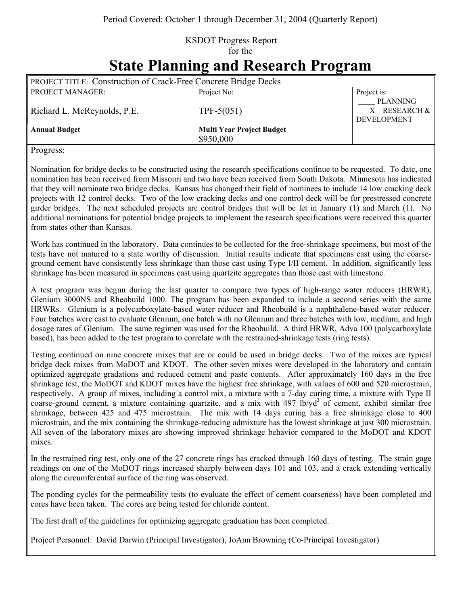## KSDOT Progress Report for the

## **State Planning and Research Program**

| <b>PROJECT TITLE: Construction of Crack-Free Concrete Bridge Decks</b> |                                               |                                                       |
|------------------------------------------------------------------------|-----------------------------------------------|-------------------------------------------------------|
| PROJECT MANAGER:                                                       | Project No:                                   | Project is:                                           |
| Richard L. McReynolds, P.E.                                            | TPF-5 $(051)$                                 | <b>PLANNING</b><br>X RESEARCH &<br><b>DEVELOPMENT</b> |
| <b>Annual Budget</b>                                                   | <b>Multi Year Project Budget</b><br>\$950,000 |                                                       |

Progress:

Nomination for bridge decks to be constructed using the research specifications continue to be requested. To date, one nomination has been received from Missouri and two have been received from South Dakota. Minnesota has indicated that they will nominate two bridge decks. Kansas has changed their field of nominees to include 14 low cracking deck projects with 12 control decks. Two of the low cracking decks and one control deck will be for prestressed concrete girder bridges. The next scheduled projects are control bridges that will be let in January (1) and March (1). No additional nominations for potential bridge projects to implement the research specifications were received this quarter from states other than Kansas.

Work has continued in the laboratory. Data continues to be collected for the free-shrinkage specimens, but most of the tests have not matured to a state worthy of discussion. Initial results indicate that specimens cast using the coarseground cement have consistently less shrinkage than those cast using Type I/II cement. In addition, significantly less shrinkage has been measured in specimens cast using quartzite aggregates than those cast with limestone.

A test program was begun during the last quarter to compare two types of high-range water reducers (HRWR), Glenium 3000NS and Rheobuild 1000. The program has been expanded to include a second series with the same HRWRs. Glenium is a polycarboxylate-based water reducer and Rheobuild is a naphthalene-based water reducer. Four batches were cast to evaluate Glenium, one batch with no Glenium and three batches with low, medium, and high dosage rates of Glenium. The same regimen was used for the Rheobuild. A third HRWR, Adva 100 (polycarboxylate based), has been added to the test program to correlate with the restrained-shrinkage tests (ring tests).

Testing continued on nine concrete mixes that are or could be used in bridge decks. Two of the mixes are typical bridge deck mixes from MoDOT and KDOT. The other seven mixes were developed in the laboratory and contain optimized aggregate gradations and reduced cement and paste contents. After approximately 160 days in the free shrinkage test, the MoDOT and KDOT mixes have the highest free shrinkage, with values of 600 and 520 microstrain, respectively. A group of mixes, including a control mix, a mixture with a 7-day curing time, a mixture with Type II coarse-ground cement, a mixture containing quartzite, and a mix with 497 lb/yd<sup>3</sup> of cement, exhibit similar free shrinkage, between 425 and 475 microstrain. The mix with 14 days curing has a free shrinkage close to 400 microstrain, and the mix containing the shrinkage-reducing admixture has the lowest shrinkage at just 300 microstrain. All seven of the laboratory mixes are showing improved shrinkage behavior compared to the MoDOT and KDOT mixes.

In the restrained ring test, only one of the 27 concrete rings has cracked through 160 days of testing. The strain gage readings on one of the MoDOT rings increased sharply between days 101 and 103, and a crack extending vertically along the circumferential surface of the ring was observed.

The ponding cycles for the permeability tests (to evaluate the effect of cement coarseness) have been completed and cores have been taken. The cores are being tested for chloride content.

The first draft of the guidelines for optimizing aggregate graduation has been completed.

Project Personnel: David Darwin (Principal Investigator), JoAnn Browning (Co-Principal Investigator)